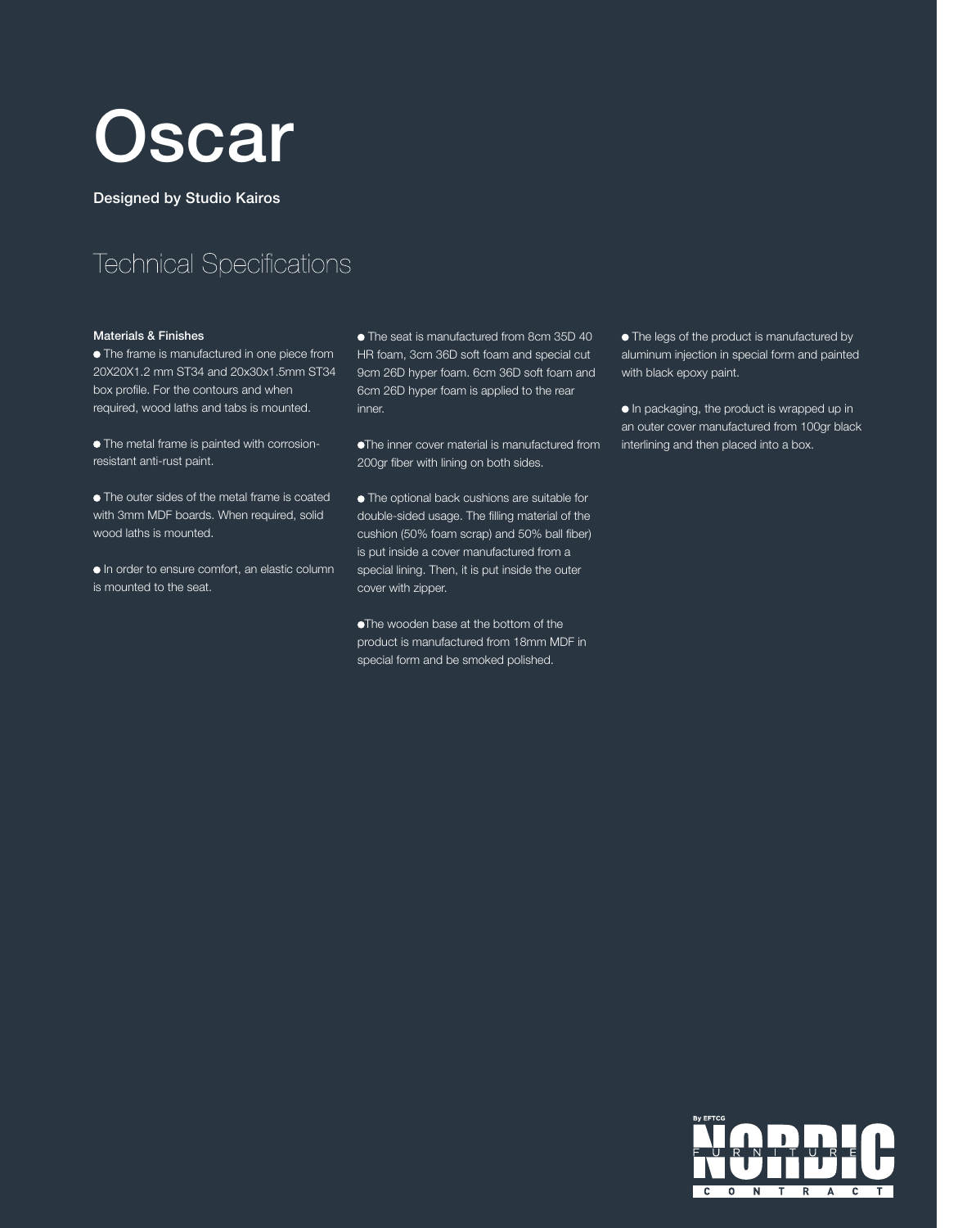

Designed by Studio Kairos

## **Technical Specifications**

## Materials & Finishes

 $\bullet$  The frame is manufactured in one piece from 20X20X1.2 mm ST34 and 20x30x1.5mm ST34 box profile. For the contours and when required, wood laths and tabs is mounted.

 The metal frame is painted with corrosionresistant anti-rust paint.

 $\bullet$  The outer sides of the metal frame is coated with 3mm MDF boards. When required, solid wood laths is mounted.

 In order to ensure comfort, an elastic column is mounted to the seat.

 The seat is manufactured from 8cm 35D 40 HR foam, 3cm 36D soft foam and special cut 9cm 26D hyper foam. 6cm 36D soft foam and 6cm 26D hyper foam is applied to the rear inner.

The inner cover material is manufactured from 200gr fiber with lining on both sides.

**The optional back cushions are suitable for** double-sided usage. The filling material of the cushion (50% foam scrap) and 50% ball fiber) is put inside a cover manufactured from a special lining. Then, it is put inside the outer cover with zipper.

The wooden base at the bottom of the product is manufactured from 18mm MDF in special form and be smoked polished.

 $\bullet$  The legs of the product is manufactured by aluminum injection in special form and painted with black epoxy paint.

 In packaging, the product is wrapped up in an outer cover manufactured from 100gr black interlining and then placed into a box.